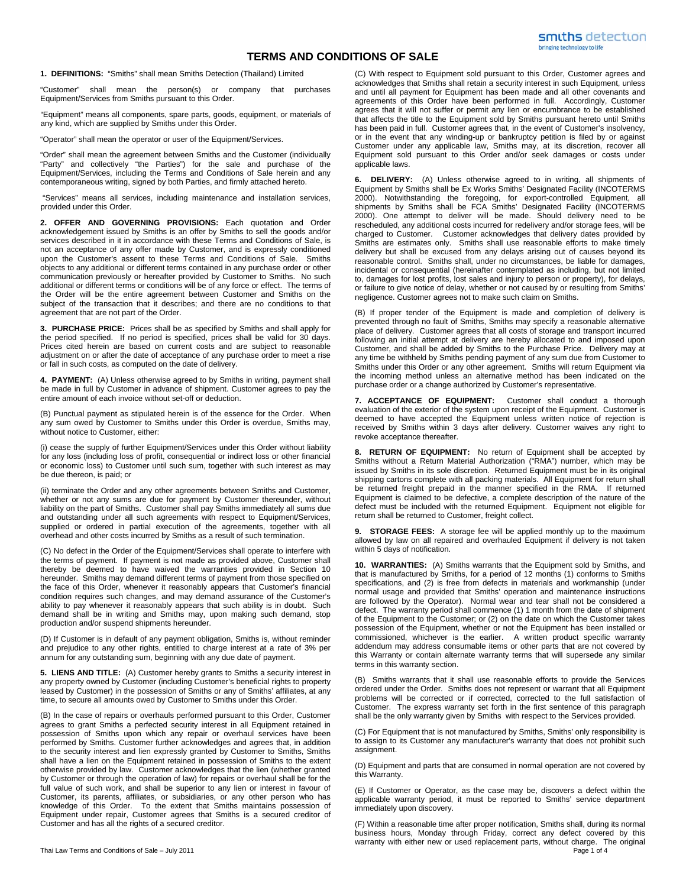## **TERMS AND CONDITIONS OF SALE**

**1. DEFINITIONS:** "Smiths" shall mean Smiths Detection (Thailand) Limited

"Customer" shall mean the person(s) or company that purchases Equipment/Services from Smiths pursuant to this Order.

"Equipment" means all components, spare parts, goods, equipment, or materials of any kind, which are supplied by Smiths under this Order.

"Operator" shall mean the operator or user of the Equipment/Services.

"Order" shall mean the agreement between Smiths and the Customer (individually "Party" and collectively "the Parties") for the sale and purchase of the Equipment/Services, including the Terms and Conditions of Sale herein and any contemporaneous writing, signed by both Parties, and firmly attached hereto.

 "Services" means all services, including maintenance and installation services, provided under this Order.

**2. OFFER AND GOVERNING PROVISIONS:** Each quotation and Order acknowledgement issued by Smiths is an offer by Smiths to sell the goods and/or services described in it in accordance with these Terms and Conditions of Sale, is not an acceptance of any offer made by Customer, and is expressly conditioned upon the Customer's assent to these Terms and Conditions of Sale. Smiths objects to any additional or different terms contained in any purchase order or other communication previously or hereafter provided by Customer to Smiths. No such additional or different terms or conditions will be of any force or effect. The terms of the Order will be the entire agreement between Customer and Smiths on the subject of the transaction that it describes; and there are no conditions to that agreement that are not part of the Order.

**3. PURCHASE PRICE:** Prices shall be as specified by Smiths and shall apply for the period specified. If no period is specified, prices shall be valid for 30 days. Prices cited herein are based on current costs and are subject to reasonable adjustment on or after the date of acceptance of any purchase order to meet a rise or fall in such costs, as computed on the date of delivery.

**4. PAYMENT:** (A) Unless otherwise agreed to by Smiths in writing, payment shall be made in full by Customer in advance of shipment. Customer agrees to pay the entire amount of each invoice without set-off or deduction.

(B) Punctual payment as stipulated herein is of the essence for the Order. When any sum owed by Customer to Smiths under this Order is overdue, Smiths may, without notice to Customer, either:

(i) cease the supply of further Equipment/Services under this Order without liability for any loss (including loss of profit, consequential or indirect loss or other financial or economic loss) to Customer until such sum, together with such interest as may be due thereon, is paid; or

(ii) terminate the Order and any other agreements between Smiths and Customer, whether or not any sums are due for payment by Customer thereunder, without liability on the part of Smiths. Customer shall pay Smiths immediately all sums due and outstanding under all such agreements with respect to Equipment/Services, supplied or ordered in partial execution of the agreements, together with all overhead and other costs incurred by Smiths as a result of such termination.

(C) No defect in the Order of the Equipment/Services shall operate to interfere with the terms of payment. If payment is not made as provided above, Customer shall thereby be deemed to have waived the warranties provided in Section 10 hereunder. Smiths may demand different terms of payment from those specified on the face of this Order, whenever it reasonably appears that Customer's financial condition requires such changes, and may demand assurance of the Customer's ability to pay whenever it reasonably appears that such ability is in doubt. Such demand shall be in writing and Smiths may, upon making such demand, stop production and/or suspend shipments hereunder.

(D) If Customer is in default of any payment obligation, Smiths is, without reminder and prejudice to any other rights, entitled to charge interest at a rate of 3% per annum for any outstanding sum, beginning with any due date of payment.

**5. LIENS AND TITLE:** (A) Customer hereby grants to Smiths a security interest in any property owned by Customer (including Customer's beneficial rights to property leased by Customer) in the possession of Smiths or any of Smiths' affiliates, at any time, to secure all amounts owed by Customer to Smiths under this Order.

(B) In the case of repairs or overhauls performed pursuant to this Order, Customer agrees to grant Smiths a perfected security interest in all Equipment retained in possession of Smiths upon which any repair or overhaul services have been performed by Smiths. Customer further acknowledges and agrees that, in addition to the security interest and lien expressly granted by Customer to Smiths, Smiths shall have a lien on the Equipment retained in possession of Smiths to the extent otherwise provided by law. Customer acknowledges that the lien (whether granted by Customer or through the operation of law) for repairs or overhaul shall be for the full value of such work, and shall be superior to any lien or interest in favour of Customer, its parents, affiliates, or subsidiaries, or any other person who has knowledge of this Order. To the extent that Smiths maintains possession of Equipment under repair, Customer agrees that Smiths is a secured creditor of Customer and has all the rights of a secured creditor.

(C) With respect to Equipment sold pursuant to this Order, Customer agrees and acknowledges that Smiths shall retain a security interest in such Equipment, unless and until all payment for Equipment has been made and all other covenants and agreements of this Order have been performed in full. Accordingly, Customer agrees that it will not suffer or permit any lien or encumbrance to be established that affects the title to the Equipment sold by Smiths pursuant hereto until Smiths has been paid in full. Customer agrees that, in the event of Customer's insolvency, or in the event that any winding-up or bankruptcy petition is filed by or against Customer under any applicable law, Smiths may, at its discretion, recover all Equipment sold pursuant to this Order and/or seek damages or costs under applicable laws.

**6. DELIVERY:** (A) Unless otherwise agreed to in writing, all shipments of Equipment by Smiths shall be Ex Works Smiths' Designated Facility (INCOTERMS 2000). Notwithstanding the foregoing, for export-controlled Equipment, all shipments by Smiths shall be FCA Smiths' Designated Facility (INCOTERMS 2000). One attempt to deliver will be made. Should delivery need to be rescheduled, any additional costs incurred for redelivery and/or storage fees, will be charged to Customer. Customer acknowledges that delivery dates provided by Smiths are estimates only. Smiths shall use reasonable efforts to make timely delivery but shall be excused from any delays arising out of causes beyond its reasonable control. Smiths shall, under no circumstances, be liable for damages, incidental or consequential (hereinafter contemplated as including, but not limited to, damages for lost profits, lost sales and injury to person or property), for delays, or failure to give notice of delay, whether or not caused by or resulting from Smiths' negligence. Customer agrees not to make such claim on Smiths.

(B) If proper tender of the Equipment is made and completion of delivery is prevented through no fault of Smiths, Smiths may specify a reasonable alternative place of delivery. Customer agrees that all costs of storage and transport incurred following an initial attempt at delivery are hereby allocated to and imposed upon Customer, and shall be added by Smiths to the Purchase Price. Delivery may at any time be withheld by Smiths pending payment of any sum due from Customer to Smiths under this Order or any other agreement. Smiths will return Equipment via the incoming method unless an alternative method has been indicated on the purchase order or a change authorized by Customer's representative.

**7. ACCEPTANCE OF EQUIPMENT:** Customer shall conduct a thorough evaluation of the exterior of the system upon receipt of the Equipment. Customer is deemed to have accepted the Equipment unless written notice of rejection is received by Smiths within 3 days after delivery. Customer waives any right to revoke acceptance thereafter.

**8. RETURN OF EQUIPMENT:** No return of Equipment shall be accepted by Smiths without a Return Material Authorization ("RMA") number, which may be issued by Smiths in its sole discretion. Returned Equipment must be in its original shipping cartons complete with all packing materials. All Equipment for return shall be returned freight prepaid in the manner specified in the RMA. If returned Equipment is claimed to be defective, a complete description of the nature of the defect must be included with the returned Equipment. Equipment not eligible for return shall be returned to Customer, freight collect.

**9. STORAGE FEES:** A storage fee will be applied monthly up to the maximum allowed by law on all repaired and overhauled Equipment if delivery is not taken within 5 days of notification.

**10. WARRANTIES:** (A) Smiths warrants that the Equipment sold by Smiths, and that is manufactured by Smiths, for a period of 12 months (1) conforms to Smiths specifications, and (2) is free from defects in materials and workmanship (under normal usage and provided that Smiths' operation and maintenance instructions are followed by the Operator). Normal wear and tear shall not be considered a defect. The warranty period shall commence (1) 1 month from the date of shipment of the Equipment to the Customer; or (2) on the date on which the Customer takes possession of the Equipment, whether or not the Equipment has been installed or commissioned, whichever is the earlier. A written product specific warranty addendum may address consumable items or other parts that are not covered by this Warranty or contain alternate warranty terms that will supersede any similar terms in this warranty section.

(B) Smiths warrants that it shall use reasonable efforts to provide the Services ordered under the Order. Smiths does not represent or warrant that all Equipment problems will be corrected or if corrected, corrected to the full satisfaction of Customer. The express warranty set forth in the first sentence of this paragraph shall be the only warranty given by Smiths with respect to the Services provided.

(C) For Equipment that is not manufactured by Smiths, Smiths' only responsibility is to assign to its Customer any manufacturer's warranty that does not prohibit such assignment.

(D) Equipment and parts that are consumed in normal operation are not covered by this Warranty.

(E) If Customer or Operator, as the case may be, discovers a defect within the applicable warranty period, it must be reported to Smiths' service department immediately upon discovery.

Thai Law Terms and Conditions of Sale – July 2011 **Page 1 of 4** and Conditions of Sale – July 2011 (F) Within a reasonable time after proper notification, Smiths shall, during its normal business hours, Monday through Friday, correct any defect covered by this warranty with either new or used replacement parts, without charge. The original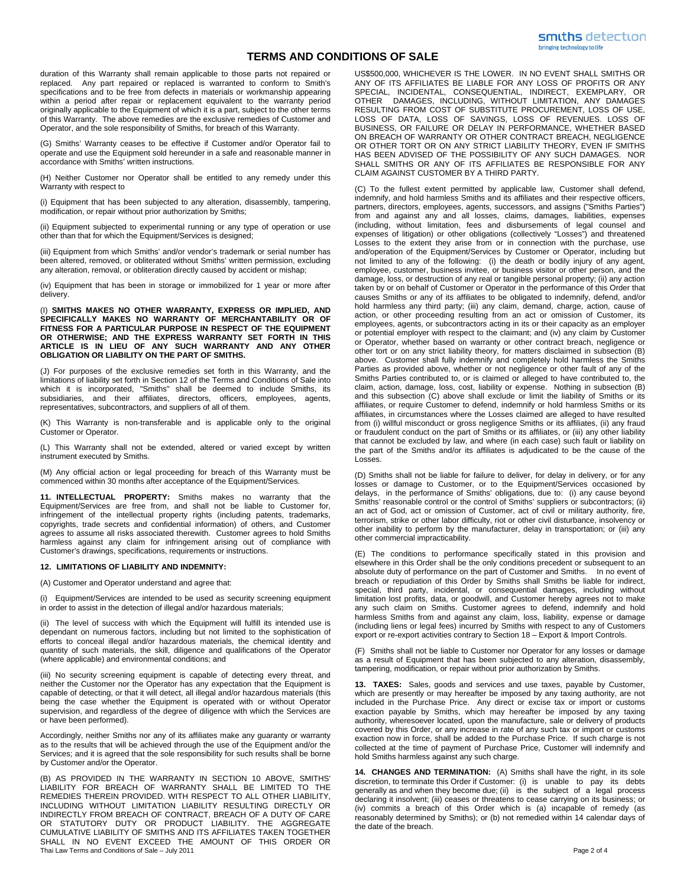## **TERMS AND CONDITIONS OF SALE**

bringing technology to life

duration of this Warranty shall remain applicable to those parts not repaired or replaced. Any part repaired or replaced is warranted to conform to Smith's specifications and to be free from defects in materials or workmanship appearing within a period after repair or replacement equivalent to the warranty period originally applicable to the Equipment of which it is a part, subject to the other terms of this Warranty. The above remedies are the exclusive remedies of Customer and Operator, and the sole responsibility of Smiths, for breach of this Warranty.

(G) Smiths' Warranty ceases to be effective if Customer and/or Operator fail to operate and use the Equipment sold hereunder in a safe and reasonable manner in accordance with Smiths' written instructions.

(H) Neither Customer nor Operator shall be entitled to any remedy under this Warranty with respect to

(i) Equipment that has been subjected to any alteration, disassembly, tampering, modification, or repair without prior authorization by Smiths;

(ii) Equipment subjected to experimental running or any type of operation or use other than that for which the Equipment/Services is designed;

(iii) Equipment from which Smiths' and/or vendor's trademark or serial number has been altered, removed, or obliterated without Smiths' written permission, excluding any alteration, removal, or obliteration directly caused by accident or mishap;

(iv) Equipment that has been in storage or immobilized for 1 year or more after delivery.

(I) **SMITHS MAKES NO OTHER WARRANTY, EXPRESS OR IMPLIED, AND SPECIFICALLY MAKES NO WARRANTY OF MERCHANTABILITY OR OF FITNESS FOR A PARTICULAR PURPOSE IN RESPECT OF THE EQUIPMENT OR OTHERWISE; AND THE EXPRESS WARRANTY SET FORTH IN THIS ARTICLE IS IN LIEU OF ANY SUCH WARRANTY AND ANY OTHER OBLIGATION OR LIABILITY ON THE PART OF SMITHS.**

(J) For purposes of the exclusive remedies set forth in this Warranty, and the limitations of liability set forth in Section 12 of the Terms and Conditions of Sale into which it is incorporated, "Smiths" shall be deemed to include Smiths, its subsidiaries, and their affiliates, directors, officers, employees, agents, representatives, subcontractors, and suppliers of all of them.

(K) This Warranty is non-transferable and is applicable only to the original Customer or Operator.

(L) This Warranty shall not be extended, altered or varied except by written instrument executed by Smiths.

(M) Any official action or legal proceeding for breach of this Warranty must be commenced within 30 months after acceptance of the Equipment/Services.

**11. INTELLECTUAL PROPERTY:** Smiths makes no warranty that the Equipment/Services are free from, and shall not be liable to Customer for, infringement of the intellectual property rights (including patents, trademarks, copyrights, trade secrets and confidential information) of others, and Customer agrees to assume all risks associated therewith. Customer agrees to hold Smiths harmless against any claim for infringement arising out of compliance with Customer's drawings, specifications, requirements or instructions.

## **12. LIMITATIONS OF LIABILITY AND INDEMNITY:**

(A) Customer and Operator understand and agree that:

Equipment/Services are intended to be used as security screening equipment in order to assist in the detection of illegal and/or hazardous materials;

(ii) The level of success with which the Equipment will fulfill its intended use is dependant on numerous factors, including but not limited to the sophistication of efforts to conceal illegal and/or hazardous materials, the chemical identity and quantity of such materials, the skill, diligence and qualifications of the Operator (where applicable) and environmental conditions; and

(iii) No security screening equipment is capable of detecting every threat, and neither the Customer nor the Operator has any expectation that the Equipment is capable of detecting, or that it will detect, all illegal and/or hazardous materials (this being the case whether the Equipment is operated with or without Operator supervision, and regardless of the degree of diligence with which the Services are or have been performed).

Accordingly, neither Smiths nor any of its affiliates make any guaranty or warranty as to the results that will be achieved through the use of the Equipment and/or the Services; and it is agreed that the sole responsibility for such results shall be borne by Customer and/or the Operator.

Thai Law Terms and Conditions of Sale – July 2011 **Page 2 of 4** and 2011 **Page 2 of 4** and 2011 (B) AS PROVIDED IN THE WARRANTY IN SECTION 10 ABOVE, SMITHS' LIABILITY FOR BREACH OF WARRANTY SHALL BE LIMITED TO THE REMEDIES THEREIN PROVIDED. WITH RESPECT TO ALL OTHER LIABILITY, INCLUDING WITHOUT LIMITATION LIABILITY RESULTING DIRECTLY OR INDIRECTLY FROM BREACH OF CONTRACT, BREACH OF A DUTY OF CARE OR STATUTORY DUTY OR PRODUCT LIABILITY. THE AGGREGATE CUMULATIVE LIABILITY OF SMITHS AND ITS AFFILIATES TAKEN TOGETHER SHALL IN NO EVENT EXCEED THE AMOUNT OF THIS ORDER OR

US\$500,000, WHICHEVER IS THE LOWER. IN NO EVENT SHALL SMITHS OR ANY OF ITS AFFILIATES BE LIABLE FOR ANY LOSS OF PROFITS OR ANY SPECIAL, INCIDENTAL, CONSEQUENTIAL, INDIRECT, EXEMPLARY, OR OTHER DAMAGES, INCLUDING, WITHOUT LIMITATION, ANY DAMAGES RESULTING FROM COST OF SUBSTITUTE PROCUREMENT, LOSS OF USE, LOSS OF DATA, LOSS OF SAVINGS, LOSS OF REVENUES. LOSS OF BUSINESS, OR FAILURE OR DELAY IN PERFORMANCE, WHETHER BASED ON BREACH OF WARRANTY OR OTHER CONTRACT BREACH, NEGLIGENCE OR OTHER TORT OR ON ANY STRICT LIABILITY THEORY, EVEN IF SMITHS HAS BEEN ADVISED OF THE POSSIBILITY OF ANY SUCH DAMAGES. NOR SHALL SMITHS OR ANY OF ITS AFFILIATES BE RESPONSIBLE FOR ANY CLAIM AGAINST CUSTOMER BY A THIRD PARTY.

smiths detection

(C) To the fullest extent permitted by applicable law, Customer shall defend, indemnify, and hold harmless Smiths and its affiliates and their respective officers, partners, directors, employees, agents, successors, and assigns ("Smiths Parties") from and against any and all losses, claims, damages, liabilities, expenses (including, without limitation, fees and disbursements of legal counsel and expenses of litigation) or other obligations (collectively "Losses") and threatened Losses to the extent they arise from or in connection with the purchase, use and/operation of the Equipment/Services by Customer or Operator, including but not limited to any of the following: (i) the death or bodily injury of any agent, employee, customer, business invitee, or business visitor or other person, and the damage, loss, or destruction of any real or tangible personal property; (ii) any action taken by or on behalf of Customer or Operator in the performance of this Order that causes Smiths or any of its affiliates to be obligated to indemnify, defend, and/or hold harmless any third party; (iii) any claim, demand, charge, action, cause of action, or other proceeding resulting from an act or omission of Customer, its employees, agents, or subcontractors acting in its or their capacity as an employer or potential employer with respect to the claimant; and (iv) any claim by Customer or Operator, whether based on warranty or other contract breach, negligence or other tort or on any strict liability theory, for matters disclaimed in subsection (B) above. Customer shall fully indemnify and completely hold harmless the Smiths Parties as provided above, whether or not negligence or other fault of any of the Smiths Parties contributed to, or is claimed or alleged to have contributed to, the claim, action, damage, loss, cost, liability or expense. Nothing in subsection (B) and this subsection (C) above shall exclude or limit the liability of Smiths or its affiliates, or require Customer to defend, indemnify or hold harmless Smiths or its affiliates, in circumstances where the Losses claimed are alleged to have resulted from (i) willful misconduct or gross negligence Smiths or its affiliates, (ii) any fraud or fraudulent conduct on the part of Smiths or its affiliates, or (iii) any other liability that cannot be excluded by law, and where (in each case) such fault or liability on the part of the Smiths and/or its affiliates is adjudicated to be the cause of the Losses.

(D) Smiths shall not be liable for failure to deliver, for delay in delivery, or for any losses or damage to Customer, or to the Equipment/Services occasioned by delays, in the performance of Smiths' obligations, due to: (i) any cause beyond Smiths' reasonable control or the control of Smiths' suppliers or subcontractors; (ii) an act of God, act or omission of Customer, act of civil or military authority, fire, terrorism, strike or other labor difficulty, riot or other civil disturbance, insolvency or other inability to perform by the manufacturer, delay in transportation; or (iii) any other commercial impracticability.

(E) The conditions to performance specifically stated in this provision and elsewhere in this Order shall be the only conditions precedent or subsequent to an absolute duty of performance on the part of Customer and Smiths. In no event of breach or repudiation of this Order by Smiths shall Smiths be liable for indirect, special, third party, incidental, or consequential damages, including without limitation lost profits, data, or goodwill, and Customer hereby agrees not to make any such claim on Smiths. Customer agrees to defend, indemnify and hold harmless Smiths from and against any claim, loss, liability, expense or damage (including liens or legal fees) incurred by Smiths with respect to any of Customers export or re-export activities contrary to Section 18 – Export & Import Controls.

(F) Smiths shall not be liable to Customer nor Operator for any losses or damage as a result of Equipment that has been subjected to any alteration, disassembly, tampering, modification, or repair without prior authorization by Smiths.

**13. TAXES:** Sales, goods and services and use taxes, payable by Customer, which are presently or may hereafter be imposed by any taxing authority, are not included in the Purchase Price. Any direct or excise tax or import or customs exaction payable by Smiths, which may hereafter be imposed by any taxing authority, wheresoever located, upon the manufacture, sale or delivery of products covered by this Order, or any increase in rate of any such tax or import or customs exaction now in force, shall be added to the Purchase Price. If such charge is not collected at the time of payment of Purchase Price, Customer will indemnify and hold Smiths harmless against any such charge.

**14. CHANGES AND TERMINATION:** (A) Smiths shall have the right, in its sole discretion, to terminate this Order if Customer: (i) is unable to pay its debts generally as and when they become due; (ii) is the subject of a legal process declaring it insolvent; (iii) ceases or threatens to cease carrying on its business; or (iv) commits a breach of this Order which is (a) incapable of remedy (as reasonably determined by Smiths); or (b) not remedied within 14 calendar days of the date of the breach.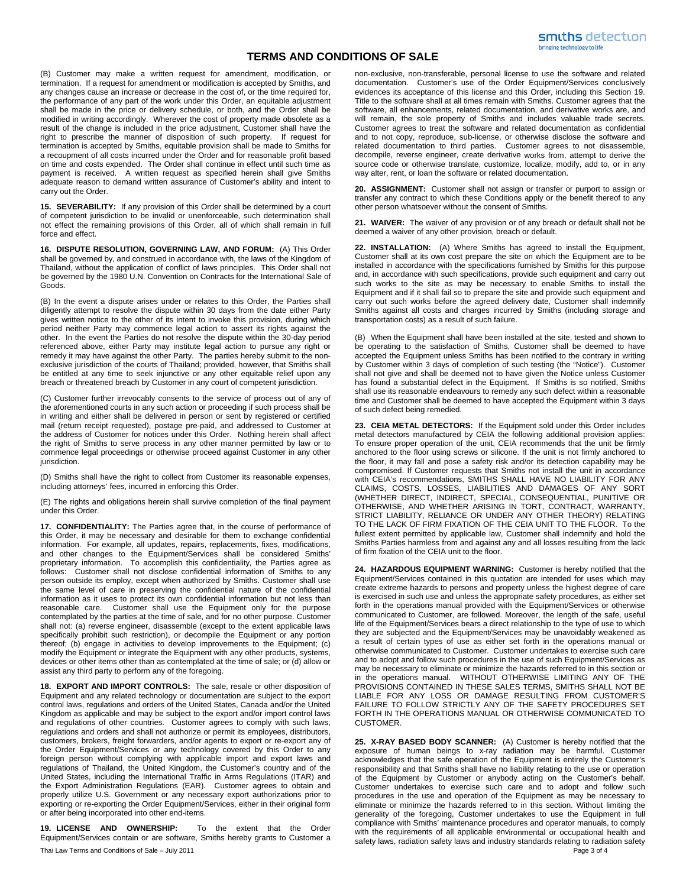## **TERMS AND CONDITIONS OF SALE**

(B) Customer may make a written request for amendment, modification, or termination. If a request for amendment or modification is accepted by Smiths, and any changes cause an increase or decrease in the cost of, or the time required for, the performance of any part of the work under this Order, an equitable adjustment shall be made in the price or delivery schedule, or both, and the Order shall be modified in writing accordingly. Wherever the cost of property made obsolete as a result of the change is included in the price adjustment, Customer shall have the right to prescribe the manner of disposition of such property. If request for termination is accepted by Smiths, equitable provision shall be made to Smiths for a recoupment of all costs incurred under the Order and for reasonable profit based on time and costs expended. The Order shall continue in effect until such time as payment is received. A written request as specified herein shall give Smiths adequate reason to demand written assurance of Customer's ability and intent to carry out the Order.

**15. SEVERABILITY:** If any provision of this Order shall be determined by a court of competent jurisdiction to be invalid or unenforceable, such determination shall not effect the remaining provisions of this Order, all of which shall remain in full force and effect.

**16. DISPUTE RESOLUTION, GOVERNING LAW, AND FORUM:** (A) This Order shall be governed by, and construed in accordance with, the laws of the Kingdom of Thailand, without the application of conflict of laws principles. This Order shall not be governed by the 1980 U.N. Convention on Contracts for the International Sale of Goods.

(B) In the event a dispute arises under or relates to this Order, the Parties shall diligently attempt to resolve the dispute within 30 days from the date either Party gives written notice to the other of its intent to invoke this provision, during which period neither Party may commence legal action to assert its rights against the other. In the event the Parties do not resolve the dispute within the 30-day period referenced above, either Party may institute legal action to pursue any right or remedy it may have against the other Party. The parties hereby submit to the nonexclusive jurisdiction of the courts of Thailand; provided, however, that Smiths shall be entitled at any time to seek injunctive or any other equitable relief upon any breach or threatened breach by Customer in any court of competent jurisdiction.

(C) Customer further irrevocably consents to the service of process out of any of the aforementioned courts in any such action or proceeding if such process shall be in writing and either shall be delivered in person or sent by registered or certified mail (return receipt requested), postage pre-paid, and addressed to Customer at the address of Customer for notices under this Order. Nothing herein shall affect the right of Smiths to serve process in any other manner permitted by law or to commence legal proceedings or otherwise proceed against Customer in any other jurisdiction.

(D) Smiths shall have the right to collect from Customer its reasonable expenses, including attorneys' fees, incurred in enforcing this Order.

(E) The rights and obligations herein shall survive completion of the final payment under this Order.

**17. CONFIDENTIALITY:** The Parties agree that, in the course of performance of this Order, it may be necessary and desirable for them to exchange confidential information. For example, all updates, repairs, replacements, fixes, modifications, and other changes to the Equipment/Services shall be considered Smiths' proprietary information. To accomplish this confidentiality, the Parties agree as follows: Customer shall not disclose confidential information of Smiths to any person outside its employ, except when authorized by Smiths. Customer shall use the same level of care in preserving the confidential nature of the confidential information as it uses to protect its own confidential information but not less than reasonable care. Customer shall use the Equipment only for the purpose contemplated by the parties at the time of sale, and for no other purpose. Customer shall not: (a) reverse engineer, disassemble (except to the extent applicable laws specifically prohibit such restriction), or decompile the Equipment or any portion thereof; (b) engage in activities to develop improvements to the Equipment; (c) modify the Equipment or integrate the Equipment with any other products, systems, devices or other items other than as contemplated at the time of sale; or (d) allow or assist any third party to perform any of the foregoing.

**18. EXPORT AND IMPORT CONTROLS:** The sale, resale or other disposition of Equipment and any related technology or documentation are subject to the export control laws, regulations and orders of the United States, Canada and/or the United Kingdom as applicable and may be subject to the export and/or import control laws and regulations of other countries. Customer agrees to comply with such laws, regulations and orders and shall not authorize or permit its employees, distributors, customers, brokers, freight forwarders, and/or agents to export or re-export any of the Order Equipment/Services or any technology covered by this Order to any foreign person without complying with applicable import and export laws and regulations of Thailand, the United Kingdom, the Customer's country and of the United States, including the International Traffic in Arms Regulations (ITAR) and the Export Administration Regulations (EAR). Customer agrees to obtain and properly utilize U.S. Government or any necessary export authorizations prior to exporting or re-exporting the Order Equipment/Services, either in their original form or after being incorporated into other end-items.

**19. LICENSE AND OWNERSHIP:** To the extent that the Order Equipment/Services contain or are software, Smiths hereby grants to Customer a

Thai Law Terms and Conditions of Sale – July 2011 **Page 3 of 4** and 2011 **Page 3 of 4** and 2011 **Page 3 of 4** 

non-exclusive, non-transferable, personal license to use the software and related documentation. Customer's use of the Order Equipment/Services conclusively evidences its acceptance of this license and this Order, including this Section 19. Title to the software shall at all times remain with Smiths. Customer agrees that the software, all enhancements, related documentation, and derivative works are, and will remain, the sole property of Smiths and includes valuable trade secrets. Customer agrees to treat the software and related documentation as confidential and to not copy, reproduce, sub-license, or otherwise disclose the software and related documentation to third parties. Customer agrees to not disassemble, decompile, reverse engineer, create derivative works from, attempt to derive the source code or otherwise translate, customize, localize, modify, add to, or in any way alter, rent, or loan the software or related documentation.

**20. ASSIGNMENT:** Customer shall not assign or transfer or purport to assign or transfer any contract to which these Conditions apply or the benefit thereof to any other person whatsoever without the consent of Smiths.

**21. WAIVER:** The waiver of any provision or of any breach or default shall not be deemed a waiver of any other provision, breach or default.

**22. INSTALLATION:** (A) Where Smiths has agreed to install the Equipment, Customer shall at its own cost prepare the site on which the Equipment are to be installed in accordance with the specifications furnished by Smiths for this purpose and, in accordance with such specifications, provide such equipment and carry out such works to the site as may be necessary to enable Smiths to install the Equipment and if it shall fail so to prepare the site and provide such equipment and carry out such works before the agreed delivery date, Customer shall indemnify Smiths against all costs and charges incurred by Smiths (including storage and transportation costs) as a result of such failure.

(B) When the Equipment shall have been installed at the site, tested and shown to be operating to the satisfaction of Smiths, Customer shall be deemed to have accepted the Equipment unless Smiths has been notified to the contrary in writing by Customer within 3 days of completion of such testing (the "Notice"). Customer shall not give and shall be deemed not to have given the Notice unless Customer has found a substantial defect in the Equipment. If Smiths is so notified, Smiths shall use its reasonable endeavours to remedy any such defect within a reasonable time and Customer shall be deemed to have accepted the Equipment within 3 days of such defect being remedied.

**23. CEIA METAL DETECTORS:** If the Equipment sold under this Order includes metal detectors manufactured by CEIA the following additional provision applies: To ensure proper operation of the unit, CEIA recommends that the unit be firmly anchored to the floor using screws or silicone. If the unit is not firmly anchored to the floor, it may fall and pose a safety risk and/or its detection capability may be compromised. If Customer requests that Smiths not install the unit in accordance with CEIA's recommendations, SMITHS SHALL HAVE NO LIABILITY FOR ANY CLAIMS, COSTS, LOSSES, LIABILITIES AND DAMAGES OF ANY SORT (WHETHER DIRECT, INDIRECT, SPECIAL, CONSEQUENTIAL, PUNITIVE OR OTHERWISE, AND WHETHER ARISING IN TORT, CONTRACT, WARRANTY, STRICT LIABILITY, RELIANCE OR UNDER ANY OTHER THEORY) RELATING TO THE LACK OF FIRM FIXATION OF THE CEIA UNIT TO THE FLOOR. To the fullest extent permitted by applicable law, Customer shall indemnify and hold the Smiths Parties harmless from and against any and all losses resulting from the lack of firm fixation of the CEIA unit to the floor.

**24. HAZARDOUS EQUIPMENT WARNING:** Customer is hereby notified that the Equipment/Services contained in this quotation are intended for uses which may create extreme hazards to persons and property unless the highest degree of care is exercised in such use and unless the appropriate safety procedures, as either set forth in the operations manual provided with the Equipment/Services or otherwise communicated to Customer, are followed. Moreover, the length of the safe, useful life of the Equipment/Services bears a direct relationship to the type of use to which they are subjected and the Equipment/Services may be unavoidably weakened as a result of certain types of use as either set forth in the operations manual or otherwise communicated to Customer. Customer undertakes to exercise such care and to adopt and follow such procedures in the use of such Equipment/Services as may be necessary to eliminate or minimize the hazards referred to in this section or in the operations manual. WITHOUT OTHERWISE LIMITING ANY OF THE PROVISIONS CONTAINED IN THESE SALES TERMS, SMITHS SHALL NOT BE LIABLE FOR ANY LOSS OR DAMAGE RESULTING FROM CUSTOMER'S FAILURE TO FOLLOW STRICTLY ANY OF THE SAFETY PROCEDURES SET FORTH IN THE OPERATIONS MANUAL OR OTHERWISE COMMUNICATED TO **CUSTOMER** 

**25. X-RAY BASED BODY SCANNER:** (A) Customer is hereby notified that the exposure of human beings to x-ray radiation may be harmful. Customer acknowledges that the safe operation of the Equipment is entirely the Customer's responsibility and that Smiths shall have no liability relating to the use or operation of the Equipment by Customer or anybody acting on the Customer's behalf. Customer undertakes to exercise such care and to adopt and follow such procedures in the use and operation of the Equipment as may be necessary to eliminate or minimize the hazards referred to in this section. Without limiting the generality of the foregoing, Customer undertakes to use the Equipment in full compliance with Smiths' maintenance procedures and operator manuals, to comply with the requirements of all applicable environmental or occupational health and safety laws, radiation safety laws and industry standards relating to radiation safety